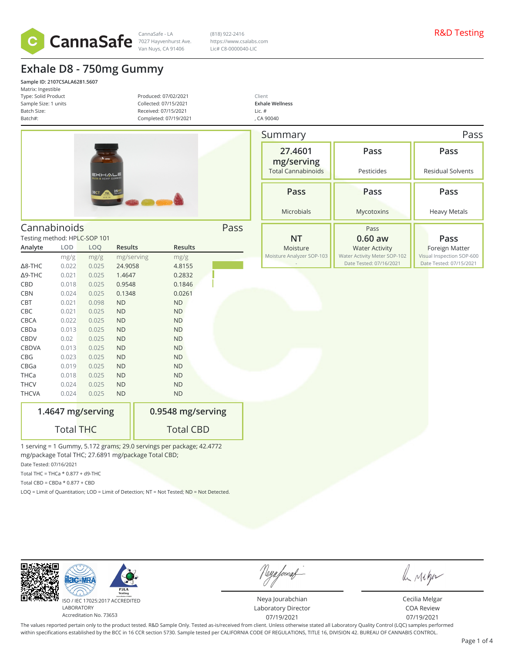

CannaSafe - LA R&D Testing 7027 Hayvenhurst Ave. (818) 922-2416 https://www.csalabs.com Lic# C8-0000040-LIC

> Client **Exhale Wellness** Lic. # , CA 90040

# **Exhale D8 - 750mg Gummy**

**Sample ID: 2107CSALA6281.5607** Matrix: Ingestible Type: Solid Product Sample Size: 1 units Batch Size: Batch#:

Produced: 07/02/2021 Collected: 07/15/2021 Received: 07/15/2021 Completed: 07/19/2021



Cannabinoids Pass

|                | Testing method: HPLC-SOP 101 |       |                |                |  |  |  |
|----------------|------------------------------|-------|----------------|----------------|--|--|--|
| Analyte        | <b>LOD</b>                   | LOQ   | <b>Results</b> | <b>Results</b> |  |  |  |
|                | mg/g                         | mg/g  | mg/serving     | mg/g           |  |  |  |
| $\Delta$ 8-THC | 0.022                        | 0.025 | 24.9058        | 4.8155         |  |  |  |
| $\Delta$ 9-THC | 0.021                        | 0.025 | 1.4647         | 0.2832         |  |  |  |
| <b>CBD</b>     | 0.018                        | 0.025 | 0.9548         | 0.1846         |  |  |  |
| <b>CBN</b>     | 0.024                        | 0.025 | 0.1348         | 0.0261         |  |  |  |
| <b>CBT</b>     | 0.021                        | 0.098 | <b>ND</b>      | <b>ND</b>      |  |  |  |
| <b>CBC</b>     | 0.021                        | 0.025 | <b>ND</b>      | <b>ND</b>      |  |  |  |
| <b>CBCA</b>    | 0.022                        | 0.025 | <b>ND</b>      | <b>ND</b>      |  |  |  |
| CBDa           | 0.013                        | 0.025 | <b>ND</b>      | <b>ND</b>      |  |  |  |
| <b>CBDV</b>    | 0.02                         | 0.025 | <b>ND</b>      | <b>ND</b>      |  |  |  |
| <b>CBDVA</b>   | 0.013                        | 0.025 | <b>ND</b>      | <b>ND</b>      |  |  |  |
| <b>CBG</b>     | 0.023                        | 0.025 | <b>ND</b>      | <b>ND</b>      |  |  |  |
| CBGa           | 0.019                        | 0.025 | <b>ND</b>      | <b>ND</b>      |  |  |  |
| <b>THCa</b>    | 0.018                        | 0.025 | <b>ND</b>      | <b>ND</b>      |  |  |  |
| <b>THCV</b>    | 0.024                        | 0.025 | <b>ND</b>      | <b>ND</b>      |  |  |  |
| <b>THCVA</b>   | 0.024                        | 0.025 | <b>ND</b>      | <b>ND</b>      |  |  |  |

| 1.4647 mg/serving |  |
|-------------------|--|
| <b>Total THC</b>  |  |

**0.9548 mg/serving** Total CBD

1 serving = 1 Gummy, 5.172 grams; 29.0 servings per package; 42.4772 mg/package Total THC; 27.6891 mg/package Total CBD;

Date Tested: 07/16/2021

Total THC = THCa  $*$  0.877 + d9-THC

Total CBD =  $CBDa * 0.877 + CBD$ 

LOQ = Limit of Quantitation; LOD = Limit of Detection; NT = Not Tested; ND = Not Detected.

ISO / IEC 17025:2017 ACCREDITED

LABORATORY Accreditation No. 73653

 $AC-M$ 

| Summary                   |                                                         | Pass                                                 |  |  |
|---------------------------|---------------------------------------------------------|------------------------------------------------------|--|--|
| 27.4601<br>mg/serving     | Pass                                                    | Pass                                                 |  |  |
| <b>Total Cannabinoids</b> | Pesticides                                              | <b>Residual Solvents</b>                             |  |  |
| Pass                      | Pass                                                    | Pass                                                 |  |  |
| Microbials                | Mycotoxins                                              | <b>Heavy Metals</b>                                  |  |  |
|                           | Pass                                                    |                                                      |  |  |
| ΝT                        | $0.60$ aw                                               | Pass                                                 |  |  |
| Moisture                  | <b>Water Activity</b>                                   | <b>Foreign Matter</b>                                |  |  |
| Moisture Analyzer SOP-103 | Water Activity Meter SOP-102<br>Date Tested: 07/16/2021 | Visual Inspection SOP-600<br>Date Tested: 07/15/2021 |  |  |

Neya Jourabchian Laboratory Director 07/19/2021

Neya fouraf

A Mega

Cecilia Melgar COA Review 07/19/2021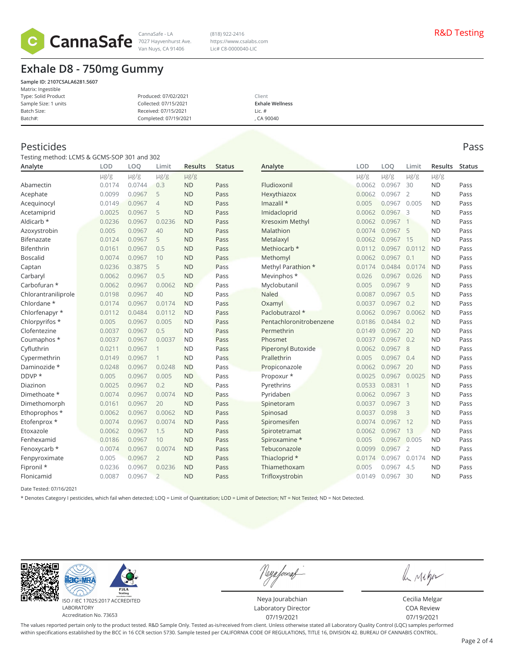

CannaSafe - LA R&D Testing 7027 Hayvenhurst Ave. (818) 922-2416 https://www.csalabs.com Lic# C8-0000040-LIC

# **Exhale D8 - 750mg Gummy**

| Sample ID: 2107CSALA6281.5607 |                       |                        |
|-------------------------------|-----------------------|------------------------|
| Matrix: Ingestible            |                       |                        |
| Type: Solid Product           | Produced: 07/02/2021  | Client                 |
| Sample Size: 1 units          | Collected: 07/15/2021 | <b>Exhale Wellness</b> |
| Batch Size:                   | Received: 07/15/2021  | Lic. $#$               |
| Batch#:                       | Completed: 07/19/2021 | . CA 90040             |
|                               |                       |                        |

## Pesticides Pass

Testing method: LCMS & GCMS-SOP 301 and 302

| Analyte             | LOD       | LOO       | Limit          | Results   | <b>Status</b> | Analyte                 | <b>LOD</b> | LOO        | Limit          | <b>Results</b> | <b>Status</b> |
|---------------------|-----------|-----------|----------------|-----------|---------------|-------------------------|------------|------------|----------------|----------------|---------------|
|                     | $\mu$ g/g | $\mu$ g/g | $\mu$ g/g      | $\mu$ g/g |               |                         | $\mu$ g/g  | $\mu$ g/g  | $\mu$ g/g      | $\mu$ g/g      |               |
| Abamectin           | 0.0174    | 0.0744    | 0.3            | <b>ND</b> | Pass          | Fludioxonil             | 0.0062     | 0.0967     | 30             | <b>ND</b>      | Pass          |
| Acephate            | 0.0099    | 0.0967    | 5              | <b>ND</b> | Pass          | Hexythiazox             | 0.0062     | 0.0967     | $\overline{2}$ | <b>ND</b>      | Pass          |
| Acequinocyl         | 0.0149    | 0.0967    | $\overline{4}$ | <b>ND</b> | Pass          | Imazalil *              | 0.005      | 0.0967     | 0.005          | <b>ND</b>      | Pass          |
| Acetamiprid         | 0.0025    | 0.0967    | 5              | <b>ND</b> | Pass          | Imidacloprid            | 0.0062     | 0.0967     | 3              | <b>ND</b>      | Pass          |
| Aldicarb *          | 0.0236    | 0.0967    | 0.0236         | <b>ND</b> | Pass          | Kresoxim Methyl         | 0.0062     | 0.0967     |                | <b>ND</b>      | Pass          |
| Azoxystrobin        | 0.005     | 0.0967    | 40             | <b>ND</b> | Pass          | Malathion               | 0.0074     | 0.0967     | 5              | <b>ND</b>      | Pass          |
| Bifenazate          | 0.0124    | 0.0967    | 5              | <b>ND</b> | Pass          | Metalaxyl               | 0.0062     | 0.0967     | 15             | <b>ND</b>      | Pass          |
| Bifenthrin          | 0.0161    | 0.0967    | 0.5            | <b>ND</b> | Pass          | Methiocarb *            | 0.0112     | 0.0967     | 0.0112         | <b>ND</b>      | Pass          |
| <b>Boscalid</b>     | 0.0074    | 0.0967    | 10             | <b>ND</b> | Pass          | Methomyl                | 0.0062     | 0.0967     | 0.1            | <b>ND</b>      | Pass          |
| Captan              | 0.0236    | 0.3875    | 5              | <b>ND</b> | Pass          | Methyl Parathion *      | 0.0174     | 0.0484     | 0.0174         | <b>ND</b>      | Pass          |
| Carbaryl            | 0.0062    | 0.0967    | 0.5            | <b>ND</b> | Pass          | Mevinphos *             | 0.026      | 0.0967     | 0.026          | <b>ND</b>      | Pass          |
| Carbofuran *        | 0.0062    | 0.0967    | 0.0062         | <b>ND</b> | Pass          | Myclobutanil            | 0.005      | 0.0967     | 9              | <b>ND</b>      | Pass          |
| Chlorantraniliprole | 0.0198    | 0.0967    | 40             | <b>ND</b> | Pass          | <b>Naled</b>            | 0.0087     | 0.0967     | 0.5            | <b>ND</b>      | Pass          |
| Chlordane *         | 0.0174    | 0.0967    | 0.0174         | <b>ND</b> | Pass          | Oxamyl                  | 0.0037     | 0.0967     | 0.2            | <b>ND</b>      | Pass          |
| Chlorfenapyr *      | 0.0112    | 0.0484    | 0.0112         | <b>ND</b> | Pass          | Paclobutrazol *         | 0.0062     | 0.0967     | 0.0062         | <b>ND</b>      | Pass          |
| Chlorpyrifos *      | 0.005     | 0.0967    | 0.005          | <b>ND</b> | Pass          | Pentachloronitrobenzene | 0.0186     | 0.0484     | 0.2            | <b>ND</b>      | Pass          |
| Clofentezine        | 0.0037    | 0.0967    | 0.5            | <b>ND</b> | Pass          | Permethrin              | 0.0149     | 0.0967     | 20             | <b>ND</b>      | Pass          |
| Coumaphos *         | 0.0037    | 0.0967    | 0.0037         | <b>ND</b> | Pass          | Phosmet                 | 0.0037     | 0.0967     | 0.2            | <b>ND</b>      | Pass          |
| Cyfluthrin          | 0.0211    | 0.0967    | 1              | <b>ND</b> | Pass          | Piperonyl Butoxide      | 0.0062     | 0.0967     | 8              | <b>ND</b>      | Pass          |
| Cypermethrin        | 0.0149    | 0.0967    |                | <b>ND</b> | Pass          | Prallethrin             | 0.005      | 0.0967     | 0.4            | <b>ND</b>      | Pass          |
| Daminozide *        | 0.0248    | 0.0967    | 0.0248         | <b>ND</b> | Pass          | Propiconazole           | 0.0062     | 0.0967     | 20             | <b>ND</b>      | Pass          |
| DDVP *              | 0.005     | 0.0967    | 0.005          | <b>ND</b> | Pass          | Propoxur *              | 0.0025     | 0.0967     | 0.0025         | <b>ND</b>      | Pass          |
| Diazinon            | 0.0025    | 0.0967    | 0.2            | <b>ND</b> | Pass          | Pyrethrins              | 0.0533     | 0.0831     | 1              | <b>ND</b>      | Pass          |
| Dimethoate *        | 0.0074    | 0.0967    | 0.0074         | <b>ND</b> | Pass          | Pyridaben               | 0.0062     | $0.0967$ 3 |                | <b>ND</b>      | Pass          |
| Dimethomorph        | 0.0161    | 0.0967    | 20             | <b>ND</b> | Pass          | Spinetoram              | 0.0037     | $0.0967$ 3 |                | <b>ND</b>      | Pass          |
| Ethoprophos *       | 0.0062    | 0.0967    | 0.0062         | <b>ND</b> | Pass          | Spinosad                | 0.0037     | 0.098      | 3              | <b>ND</b>      | Pass          |
| Etofenprox *        | 0.0074    | 0.0967    | 0.0074         | <b>ND</b> | Pass          | Spiromesifen            | 0.0074     | 0.0967     | 12             | <b>ND</b>      | Pass          |
| Etoxazole           | 0.0062    | 0.0967    | 1.5            | <b>ND</b> | Pass          | Spirotetramat           | 0.0062     | 0.0967     | 13             | <b>ND</b>      | Pass          |
| Fenhexamid          | 0.0186    | 0.0967    | 10             | <b>ND</b> | Pass          | Spiroxamine *           | 0.005      | 0.0967     | 0.005          | <b>ND</b>      | Pass          |
| Fenoxycarb *        | 0.0074    | 0.0967    | 0.0074         | <b>ND</b> | Pass          | Tebuconazole            | 0.0099     | 0.0967     | $\overline{2}$ | <b>ND</b>      | Pass          |
| Fenpyroximate       | 0.005     | 0.0967    | $\overline{2}$ | <b>ND</b> | Pass          | Thiacloprid *           | 0.0174     | 0.0967     | 0.0174         | <b>ND</b>      | Pass          |
| Fipronil *          | 0.0236    | 0.0967    | 0.0236         | <b>ND</b> | Pass          | Thiamethoxam            | 0.005      | 0.0967     | 4.5            | <b>ND</b>      | Pass          |
| Flonicamid          | 0.0087    | 0.0967    | $\overline{2}$ | <b>ND</b> | Pass          | Trifloxystrobin         | 0.0149     | 0.0967     | 30             | <b>ND</b>      | Pass          |

Date Tested: 07/16/2021

\* Denotes Category I pesticides, which fail when detected; LOQ = Limit of Quantitation; LOD = Limit of Detection; NT = Not Tested; ND = Not Detected.



Neya fourat

Neya Jourabchian Laboratory Director 07/19/2021

le rigor

Cecilia Melgar COA Review 07/19/2021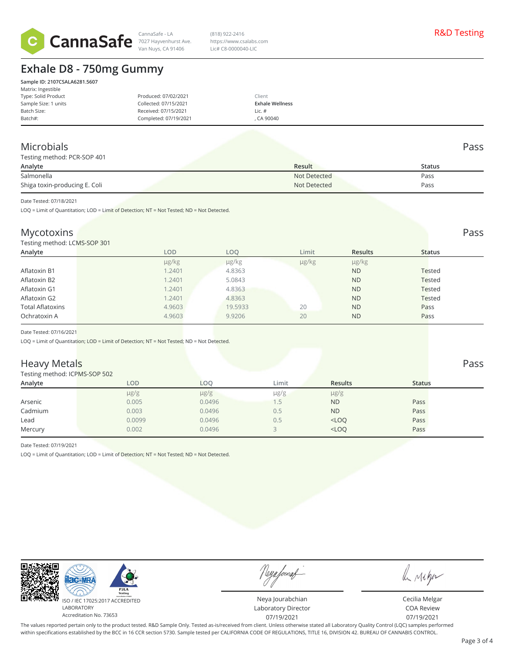

CannaSafe - LA R&D Testing 7027 Hayvenhurst Ave. (818) 922-2416 https://www.csalabs.com Lic# C8-0000040-LIC

# **Exhale D8 - 750mg Gummy**

| Sample ID: 2107CSALA6281.5607<br>Matrix: Ingestible |                       |                        |
|-----------------------------------------------------|-----------------------|------------------------|
| Type: Solid Product                                 | Produced: 07/02/2021  | Client                 |
| Sample Size: 1 units                                | Collected: 07/15/2021 | <b>Exhale Wellness</b> |
| Batch Size:                                         | Received: 07/15/2021  | Lic. #                 |
| Batch#:                                             | Completed: 07/19/2021 | . CA 90040             |

## Microbials Pass

| Testing method: PCR-SOP 401   |              |        |
|-------------------------------|--------------|--------|
| Analyte                       | Result       | Status |
| Salmonella                    | Not Detected | Pass   |
| Shiga toxin-producing E. Coli | Not Detected | Pass   |

Date Tested: 07/18/2021

LOQ = Limit of Quantitation; LOD = Limit of Detection; NT = Not Tested; ND = Not Detected.

### Mycotoxins Pass and the contract of the contract of the contract of the contract of the contract of the contract of the contract of the contract of the contract of the contract of the contract of the contract of the contra

Testing method: LCMS-SOP 301

| $\sim$<br>Analyte       | LOD        | LOQ     | Limit | <b>Results</b> | <b>Status</b> |  |
|-------------------------|------------|---------|-------|----------------|---------------|--|
|                         | $\mu$ g/kg | µg/kg   | µg/kg | $\mu$ g/kg     |               |  |
| Aflatoxin B1            | 1.2401     | 4.8363  |       | <b>ND</b>      | <b>Tested</b> |  |
| Aflatoxin B2            | 1.2401     | 5.0843  |       | <b>ND</b>      | <b>Tested</b> |  |
| Aflatoxin G1            | 1.2401     | 4.8363  |       | <b>ND</b>      | <b>Tested</b> |  |
| Aflatoxin G2            | 1.2401     | 4.8363  |       | <b>ND</b>      | <b>Tested</b> |  |
| <b>Total Aflatoxins</b> | 4.9603     | 19.5933 | 20    | <b>ND</b>      | Pass          |  |
| Ochratoxin A            | 4.9603     | 9.9206  | 20    | <b>ND</b>      | Pass          |  |
|                         |            |         |       |                |               |  |

Date Tested: 07/16/2021

LOQ = Limit of Quantitation; LOD = Limit of Detection; NT = Not Tested; ND = Not Detected.

### **Heavy Metals** Pass Pass **Pass**

#### Testing method: ICPMS-SOP 502

| <b>I COULT INTO THE INTERVAL AND INCOURT</b> |            |           |           |                |               |  |
|----------------------------------------------|------------|-----------|-----------|----------------|---------------|--|
| Analyte                                      | <b>LOD</b> | LOO       | Limit     | <b>Results</b> | <b>Status</b> |  |
|                                              | $\mu$ g/g  | $\mu$ g/g | $\mu$ g/g | $\mu$ g/g      |               |  |
| Arsenic                                      | 0.005      | 0.0496    |           | <b>ND</b>      | Pass          |  |
| Cadmium                                      | 0.003      | 0.0496    | 0.5       | <b>ND</b>      | Pass          |  |
| Lead                                         | 0.0099     | 0.0496    | 0.5       | $<$ LOQ        | Pass          |  |
| Mercury                                      | 0.002      | 0.0496    |           | $<$ LOQ        | Pass          |  |
|                                              |            |           |           |                |               |  |

Date Tested: 07/19/2021

LOQ = Limit of Quantitation; LOD = Limit of Detection; NT = Not Tested; ND = Not Detected.



Neya fourat

Neya Jourabchian Laboratory Director 07/19/2021

le nigo

Cecilia Melgar COA Review 07/19/2021